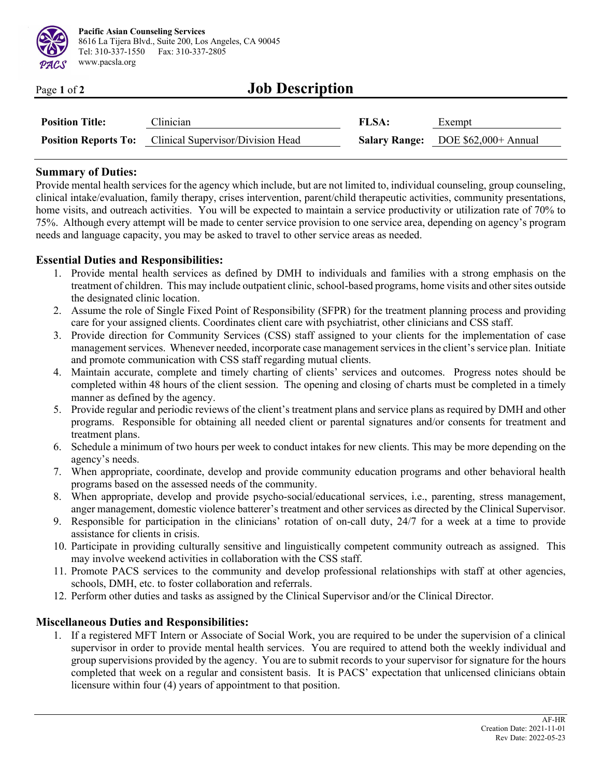

| Page 1 of 2 | <b>Job Description</b> |
|-------------|------------------------|
|             |                        |

| <b>Position Title:</b> | Clinician                                                     | <b>FLSA:</b> | Exempt                                    |
|------------------------|---------------------------------------------------------------|--------------|-------------------------------------------|
|                        | <b>Position Reports To:</b> Clinical Supervisor/Division Head |              | <b>Salary Range:</b> DOE \$62,000+ Annual |

#### **Summary of Duties:**

 $\ddot{\phantom{0}}$  $\overline{a}$ 

Provide mental health services for the agency which include, but are not limited to, individual counseling, group counseling, clinical intake/evaluation, family therapy, crises intervention, parent/child therapeutic activities, community presentations, home visits, and outreach activities. You will be expected to maintain a service productivity or utilization rate of 70% to 75%. Although every attempt will be made to center service provision to one service area, depending on agency's program needs and language capacity, you may be asked to travel to other service areas as needed.

### **Essential Duties and Responsibilities:**

- 1. Provide mental health services as defined by DMH to individuals and families with a strong emphasis on the treatment of children. This may include outpatient clinic, school-based programs, home visits and other sites outside the designated clinic location.
- 2. Assume the role of Single Fixed Point of Responsibility (SFPR) for the treatment planning process and providing care for your assigned clients. Coordinates client care with psychiatrist, other clinicians and CSS staff.
- 3. Provide direction for Community Services (CSS) staff assigned to your clients for the implementation of case management services. Whenever needed, incorporate case management services in the client's service plan. Initiate and promote communication with CSS staff regarding mutual clients.
- 4. Maintain accurate, complete and timely charting of clients' services and outcomes. Progress notes should be completed within 48 hours of the client session. The opening and closing of charts must be completed in a timely manner as defined by the agency.
- 5. Provide regular and periodic reviews of the client's treatment plans and service plans as required by DMH and other programs. Responsible for obtaining all needed client or parental signatures and/or consents for treatment and treatment plans.
- 6. Schedule a minimum of two hours per week to conduct intakes for new clients. This may be more depending on the agency's needs.
- 7. When appropriate, coordinate, develop and provide community education programs and other behavioral health programs based on the assessed needs of the community.
- 8. When appropriate, develop and provide psycho-social/educational services, i.e., parenting, stress management, anger management, domestic violence batterer's treatment and other services as directed by the Clinical Supervisor.
- 9. Responsible for participation in the clinicians' rotation of on-call duty, 24/7 for a week at a time to provide assistance for clients in crisis.
- 10. Participate in providing culturally sensitive and linguistically competent community outreach as assigned. This may involve weekend activities in collaboration with the CSS staff.
- 11. Promote PACS services to the community and develop professional relationships with staff at other agencies, schools, DMH, etc. to foster collaboration and referrals.
- 12. Perform other duties and tasks as assigned by the Clinical Supervisor and/or the Clinical Director.

### **Miscellaneous Duties and Responsibilities:**

1. If a registered MFT Intern or Associate of Social Work, you are required to be under the supervision of a clinical supervisor in order to provide mental health services. You are required to attend both the weekly individual and group supervisions provided by the agency. You are to submit records to your supervisor for signature for the hours completed that week on a regular and consistent basis. It is PACS' expectation that unlicensed clinicians obtain licensure within four (4) years of appointment to that position.